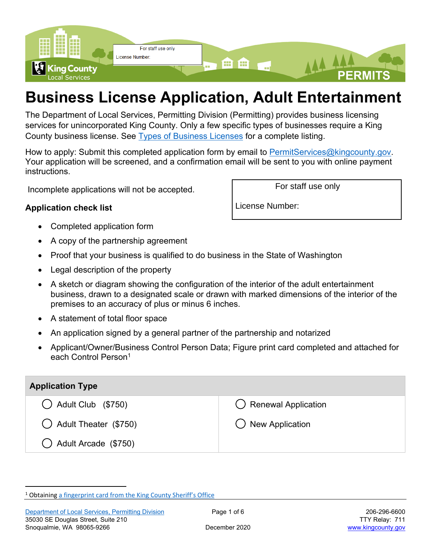

# **Business License Application, Adult Entertainment**

The Department of Local Services, Permitting Division (Permitting) provides business licensing services for unincorporated King County. Only a few specific types of businesses require a King County business license. See [Types of Business Licenses](https://kingcounty.gov/services/business/licenses/types.aspx) for a complete listing.

How to apply: Submit this completed application form by email to [PermitServices@kingcounty.gov.](mailto:PermitServices@kingcounty.gov) Your application will be screened, and a confirmation email will be sent to you with online payment instructions.

Incomplete applications will not be accepted.

#### **Application check list**

- Completed application form
- A copy of the partnership agreement
- Proof that your business is qualified to do business in the State of Washington
- Legal description of the property
- A sketch or diagram showing the configuration of the interior of the adult entertainment business, drawn to a designated scale or drawn with marked dimensions of the interior of the premises to an accuracy of plus or minus 6 inches.
- A statement of total floor space
- An application signed by a general partner of the partnership and notarized
- Applicant/Owner/Business Control Person Data; Figure print card completed and attached for each Control Person<sup>1</sup>

| <b>Application Type</b>       |                                |  |
|-------------------------------|--------------------------------|--|
| $\bigcirc$ Adult Club (\$750) | $\bigcirc$ Renewal Application |  |
| () Adult Theater (\$750)      | () New Application             |  |
| Adult Arcade (\$750)          |                                |  |

For staff use only

License Number:

<sup>&</sup>lt;sup>1</sup> Obtaining [a fingerprint card from the King County Sheriff's Office](https://www.kingcounty.gov/depts/sheriff/services/fingerprint.aspx)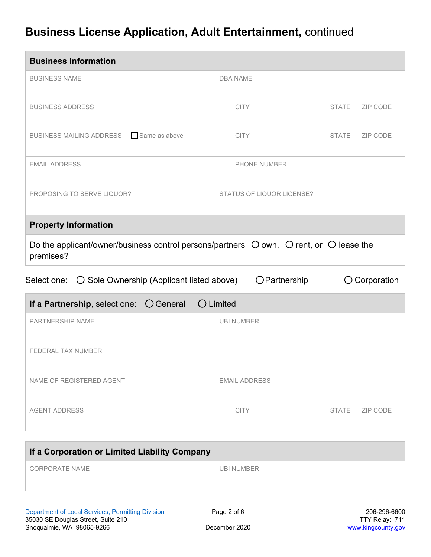| <b>Business Information</b>                                                                                                    |  |                                  |              |          |
|--------------------------------------------------------------------------------------------------------------------------------|--|----------------------------------|--------------|----------|
| <b>BUSINESS NAME</b>                                                                                                           |  | <b>DBA NAME</b>                  |              |          |
| <b>BUSINESS ADDRESS</b>                                                                                                        |  | <b>CITY</b>                      | <b>STATE</b> | ZIP CODE |
| BUSINESS MAILING ADDRESS Same as above                                                                                         |  | <b>CITY</b>                      | <b>STATE</b> | ZIP CODE |
| <b>EMAIL ADDRESS</b>                                                                                                           |  | <b>PHONE NUMBER</b>              |              |          |
| PROPOSING TO SERVE LIQUOR?                                                                                                     |  | <b>STATUS OF LIQUOR LICENSE?</b> |              |          |
| <b>Property Information</b>                                                                                                    |  |                                  |              |          |
| Do the applicant/owner/business control persons/partners $\bigcirc$ own, $\bigcirc$ rent, or $\bigcirc$ lease the<br>premises? |  |                                  |              |          |
| Select one:  O Sole Ownership (Applicant listed above)<br>OPartnership<br>O Corporation                                        |  |                                  |              |          |
| $\bigcirc$ General<br>$\bigcirc$ Limited<br>If a Partnership, select one:                                                      |  |                                  |              |          |

| $\mathbf{u}$ and $\mathbf{u}$ and $\mathbf{v}$ , $\mathbf{v}$ and $\mathbf{v}$ . $\mathbf{v}$ below the $\mathbf{v}$ |  |                      |              |          |
|----------------------------------------------------------------------------------------------------------------------|--|----------------------|--------------|----------|
| <b>PARTNERSHIP NAME</b>                                                                                              |  | <b>UBI NUMBER</b>    |              |          |
| <b>FEDERAL TAX NUMBER</b>                                                                                            |  |                      |              |          |
| NAME OF REGISTERED AGENT                                                                                             |  | <b>EMAIL ADDRESS</b> |              |          |
| <b>AGENT ADDRESS</b>                                                                                                 |  | <b>CITY</b>          | <b>STATE</b> | ZIP CODE |

| If a Corporation or Limited Liability Company |                   |  |
|-----------------------------------------------|-------------------|--|
| CORPORATE NAME                                | <b>UBI NUMBER</b> |  |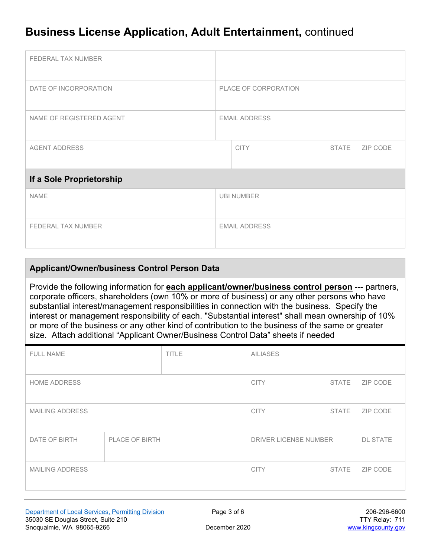| FEDERAL TAX NUMBER        |                      |             |              |          |
|---------------------------|----------------------|-------------|--------------|----------|
| DATE OF INCORPORATION     | PLACE OF CORPORATION |             |              |          |
| NAME OF REGISTERED AGENT  | <b>EMAIL ADDRESS</b> |             |              |          |
| <b>AGENT ADDRESS</b>      |                      | <b>CITY</b> | <b>STATE</b> | ZIP CODE |
| If a Sole Proprietorship  |                      |             |              |          |
| <b>NAME</b>               | <b>UBI NUMBER</b>    |             |              |          |
| <b>FEDERAL TAX NUMBER</b> | <b>EMAIL ADDRESS</b> |             |              |          |

#### **Applicant/Owner/business Control Person Data**

Provide the following information for **each applicant/owner/business control person** --- partners, corporate officers, shareholders (own 10% or more of business) or any other persons who have substantial interest/management responsibilities in connection with the business. Specify the interest or management responsibility of each. "Substantial interest" shall mean ownership of 10% or more of the business or any other kind of contribution to the business of the same or greater size. Attach additional "Applicant Owner/Business Control Data" sheets if needed

| <b>TITLE</b><br><b>FULL NAME</b> |  | <b>AILIASES</b>       |              |                 |          |
|----------------------------------|--|-----------------------|--------------|-----------------|----------|
| <b>HOME ADDRESS</b>              |  |                       | <b>CITY</b>  | <b>STATE</b>    | ZIP CODE |
| <b>MAILING ADDRESS</b>           |  | <b>CITY</b>           | <b>STATE</b> | ZIP CODE        |          |
| DATE OF BIRTH<br>PLACE OF BIRTH  |  | DRIVER LICENSE NUMBER |              | <b>DL STATE</b> |          |
| <b>MAILING ADDRESS</b>           |  | <b>CITY</b>           | <b>STATE</b> | ZIP CODE        |          |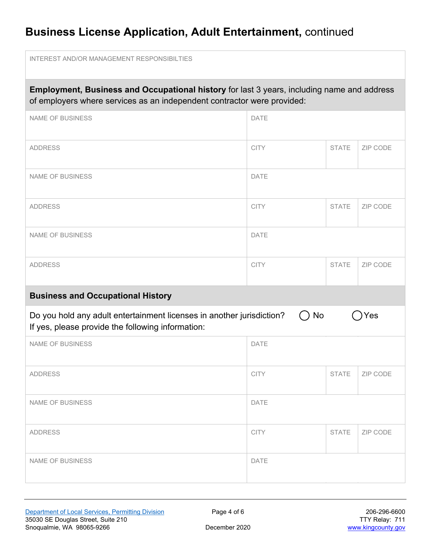| <b>INTEREST AND/OR MANAGEMENT RESPONSIBILTIES</b>                                                                                                                     |             |              |          |
|-----------------------------------------------------------------------------------------------------------------------------------------------------------------------|-------------|--------------|----------|
| Employment, Business and Occupational history for last 3 years, including name and address<br>of employers where services as an independent contractor were provided: |             |              |          |
| <b>NAME OF BUSINESS</b>                                                                                                                                               | DATE        |              |          |
| <b>ADDRESS</b>                                                                                                                                                        | <b>CITY</b> | <b>STATE</b> | ZIP CODE |
| <b>NAME OF BUSINESS</b>                                                                                                                                               | <b>DATE</b> |              |          |
| <b>ADDRESS</b>                                                                                                                                                        | <b>CITY</b> | <b>STATE</b> | ZIP CODE |
| <b>NAME OF BUSINESS</b>                                                                                                                                               | <b>DATE</b> |              |          |
| <b>ADDRESS</b>                                                                                                                                                        | <b>CITY</b> | <b>STATE</b> | ZIP CODE |
| <b>Business and Occupational History</b>                                                                                                                              |             |              |          |
| Do you hold any adult entertainment licenses in another jurisdiction?<br>If yes, please provide the following information:                                            | No          |              | Yes      |
| <b>NAME OF BUSINESS</b>                                                                                                                                               | <b>DATE</b> |              |          |
| <b>ADDRESS</b>                                                                                                                                                        | <b>CITY</b> | <b>STATE</b> | ZIP CODE |
| <b>NAME OF BUSINESS</b>                                                                                                                                               | DATE        |              |          |
| <b>ADDRESS</b>                                                                                                                                                        | <b>CITY</b> | <b>STATE</b> | ZIP CODE |
| NAME OF BUSINESS                                                                                                                                                      | DATE        |              |          |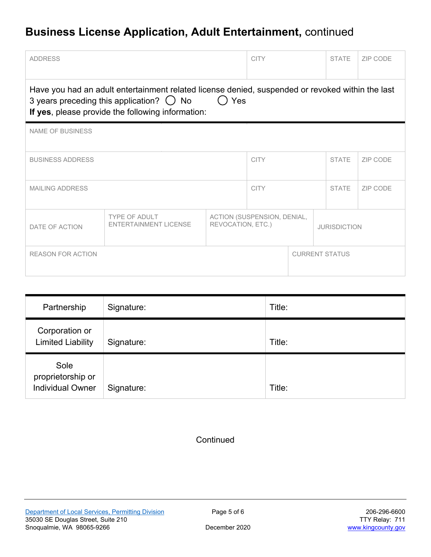| <b>ADDRESS</b>                                                                                                                                                                                                    |                                                      |                                                  | <b>CITY</b> |              | <b>STATE</b>          | ZIP CODE |
|-------------------------------------------------------------------------------------------------------------------------------------------------------------------------------------------------------------------|------------------------------------------------------|--------------------------------------------------|-------------|--------------|-----------------------|----------|
| Have you had an adult entertainment related license denied, suspended or revoked within the last<br>3 years preceding this application? $\bigcirc$ No<br>Yes<br>If yes, please provide the following information: |                                                      |                                                  |             |              |                       |          |
| <b>NAME OF BUSINESS</b>                                                                                                                                                                                           |                                                      |                                                  |             |              |                       |          |
| <b>BUSINESS ADDRESS</b>                                                                                                                                                                                           |                                                      | <b>CITY</b>                                      |             | <b>STATE</b> | ZIP CODE              |          |
| <b>MAILING ADDRESS</b>                                                                                                                                                                                            |                                                      | <b>CITY</b>                                      |             | <b>STATE</b> | ZIP CODE              |          |
| DATE OF ACTION                                                                                                                                                                                                    | <b>TYPE OF ADULT</b><br><b>ENTERTAINMENT LICENSE</b> | ACTION (SUSPENSION, DENIAL,<br>REVOCATION, ETC.) |             |              | <b>JURISDICTION</b>   |          |
| <b>REASON FOR ACTION</b>                                                                                                                                                                                          |                                                      |                                                  |             |              | <b>CURRENT STATUS</b> |          |

| Partnership                                          | Signature: | Title: |
|------------------------------------------------------|------------|--------|
| Corporation or<br><b>Limited Liability</b>           | Signature: | Title: |
| Sole<br>proprietorship or<br><b>Individual Owner</b> | Signature: | Title: |

#### **Continued**